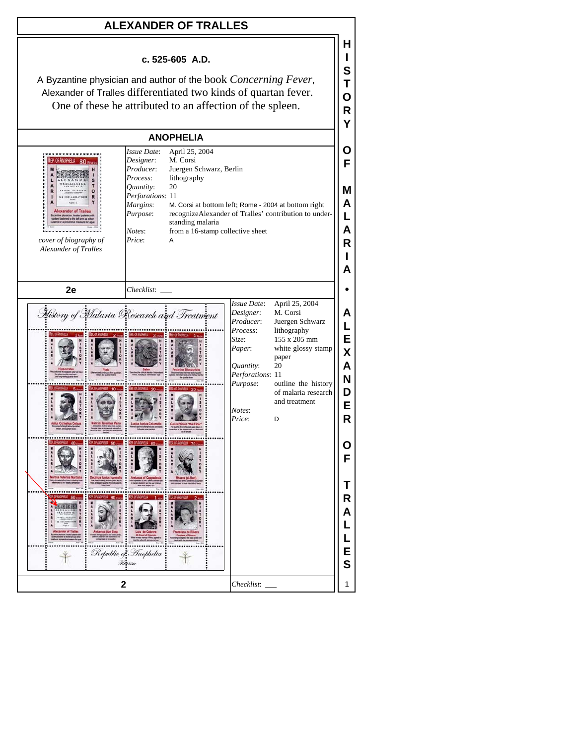## **ALEXANDER OF TRALLES**

## **c. 525-605 A.D.**

**H I S T O R**

A Byzantine physician and author of the book *Concerning Fever*, Alexander of Tralles differentiated two kinds of quartan fever. One of these he attributed to an affection of the spleen.

| <b>ANOPHELIA</b>                                                                                                                                 |                                                                                                                                           |                                                                                                                                                                                      |                                                                                                                        |                                                                                                                                                                     |                                           |
|--------------------------------------------------------------------------------------------------------------------------------------------------|-------------------------------------------------------------------------------------------------------------------------------------------|--------------------------------------------------------------------------------------------------------------------------------------------------------------------------------------|------------------------------------------------------------------------------------------------------------------------|---------------------------------------------------------------------------------------------------------------------------------------------------------------------|-------------------------------------------|
| REP. OF ANOPHELIA 80 FEVERS<br>$\circ$<br>R<br><b>Alexander of Trailes</b><br>d to the left arm<br>cover of biography of<br>Alexander of Tralles | Issue Date:<br>Designer:<br>Producer:<br>Process:<br>20<br>Quantity:<br>Perforations: 11<br>Margins:<br>Purpose:<br>Notes:<br>Price:<br>A | April 25, 2004<br>M. Corsi<br>Juergen Schwarz, Berlin<br>lithography<br>M. Corsi at bottom left; Rome - 2004 at bottom right<br>standing malaria<br>from a 16-stamp collective sheet |                                                                                                                        | recognizeAlexander of Tralles' contribution to under-                                                                                                               | O<br>F<br>M<br>A<br>L<br>A<br>R<br>А      |
| 2e                                                                                                                                               | Checklist:                                                                                                                                |                                                                                                                                                                                      | <b>Issue Date:</b>                                                                                                     | April 25, 2004                                                                                                                                                      |                                           |
| History of Malaria Research and Treatment<br>                                                                                                    |                                                                                                                                           |                                                                                                                                                                                      | Designer:<br>Producer:<br>Process:<br>Size:<br>Paper:<br>Quantity:<br>Perforations: 11<br>Purpose:<br>Notes:<br>Price: | M. Corsi<br>Juergen Schwarz<br>lithography<br>155 x 205 mm<br>white glossy stamp<br>paper<br>20<br>outline the history<br>of malaria research<br>and treatment<br>D | Α<br>L<br>E<br>X<br>A<br>N<br>D<br>E<br>R |
| <br>$x - n$                                                                                                                                      |                                                                                                                                           |                                                                                                                                                                                      |                                                                                                                        |                                                                                                                                                                     | O<br>F                                    |
|                                                                                                                                                  | Republic of Inophelia<br><b>Hey time</b>                                                                                                  |                                                                                                                                                                                      |                                                                                                                        |                                                                                                                                                                     | т<br>R<br>А<br>E<br>S                     |
| $\mathbf{2}$<br>Checklist:                                                                                                                       |                                                                                                                                           |                                                                                                                                                                                      |                                                                                                                        |                                                                                                                                                                     |                                           |